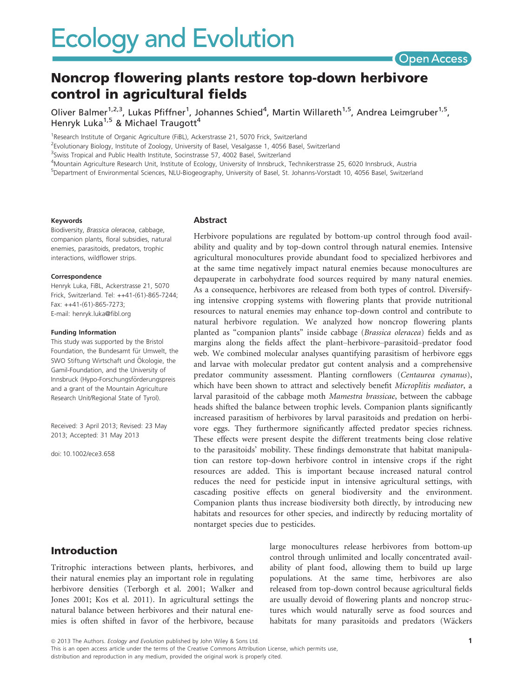

# Noncrop flowering plants restore top-down herbivore control in agricultural fields

Oliver Balmer<sup>1,2,3</sup>, Lukas Pfiffner<sup>1</sup>, Johannes Schied<sup>4</sup>, Martin Willareth<sup>1,5</sup>, Andrea Leimgruber<sup>1,5</sup>, Henryk Luka<sup>1,5</sup> & Michael Traugott<sup>4</sup>

<sup>1</sup>Research Institute of Organic Agriculture (FiBL), Ackerstrasse 21, 5070 Frick, Switzerland

<sup>3</sup>Swiss Tropical and Public Health Institute, Socinstrasse 57, 4002 Basel, Switzerland

4 Mountain Agriculture Research Unit, Institute of Ecology, University of Innsbruck, Technikerstrasse 25, 6020 Innsbruck, Austria

5 Department of Environmental Sciences, NLU-Biogeography, University of Basel, St. Johanns-Vorstadt 10, 4056 Basel, Switzerland

#### Keywords

Biodiversity, Brassica oleracea, cabbage, companion plants, floral subsidies, natural enemies, parasitoids, predators, trophic interactions, wildflower strips.

#### Correspondence

Henryk Luka, FiBL, Ackerstrasse 21, 5070 Frick, Switzerland. Tel: ++41-(61)-865-7244; Fax: ++41-(61)-865-7273; E-mail: henryk.luka@fibl.org

#### Funding Information

This study was supported by the Bristol Foundation, the Bundesamt für Umwelt, the SWO Stiftung Wirtschaft und Ökologie, the Gamil-Foundation, and the University of Innsbruck (Hypo-Forschungsförderungspreis and a grant of the Mountain Agriculture Research Unit/Regional State of Tyrol).

Received: 3 April 2013; Revised: 23 May 2013; Accepted: 31 May 2013

doi: 10.1002/ece3.658

#### Abstract

Herbivore populations are regulated by bottom-up control through food availability and quality and by top-down control through natural enemies. Intensive agricultural monocultures provide abundant food to specialized herbivores and at the same time negatively impact natural enemies because monocultures are depauperate in carbohydrate food sources required by many natural enemies. As a consequence, herbivores are released from both types of control. Diversifying intensive cropping systems with flowering plants that provide nutritional resources to natural enemies may enhance top-down control and contribute to natural herbivore regulation. We analyzed how noncrop flowering plants planted as "companion plants" inside cabbage (Brassica oleracea) fields and as margins along the fields affect the plant–herbivore–parasitoid–predator food web. We combined molecular analyses quantifying parasitism of herbivore eggs and larvae with molecular predator gut content analysis and a comprehensive predator community assessment. Planting cornflowers (Centaurea cynanus), which have been shown to attract and selectively benefit *Microplitis mediator*, a larval parasitoid of the cabbage moth Mamestra brassicae, between the cabbage heads shifted the balance between trophic levels. Companion plants significantly increased parasitism of herbivores by larval parasitoids and predation on herbivore eggs. They furthermore significantly affected predator species richness. These effects were present despite the different treatments being close relative to the parasitoids' mobility. These findings demonstrate that habitat manipulation can restore top-down herbivore control in intensive crops if the right resources are added. This is important because increased natural control reduces the need for pesticide input in intensive agricultural settings, with cascading positive effects on general biodiversity and the environment. Companion plants thus increase biodiversity both directly, by introducing new habitats and resources for other species, and indirectly by reducing mortality of nontarget species due to pesticides.

# Introduction

Tritrophic interactions between plants, herbivores, and their natural enemies play an important role in regulating herbivore densities (Terborgh et al. 2001; Walker and Jones 2001; Kos et al. 2011). In agricultural settings the natural balance between herbivores and their natural enemies is often shifted in favor of the herbivore, because large monocultures release herbivores from bottom-up control through unlimited and locally concentrated availability of plant food, allowing them to build up large populations. At the same time, herbivores are also released from top-down control because agricultural fields are usually devoid of flowering plants and noncrop structures which would naturally serve as food sources and habitats for many parasitoids and predators (Wäckers

ª 2013 The Authors. Ecology and Evolution published by John Wiley & Sons Ltd.

This is an open access article under the terms of the Creative Commons Attribution License, which permits use,

distribution and reproduction in any medium, provided the original work is properly cited.

<sup>&</sup>lt;sup>2</sup> Evolutionary Biology, Institute of Zoology, University of Basel, Vesalgasse 1, 4056 Basel, Switzerland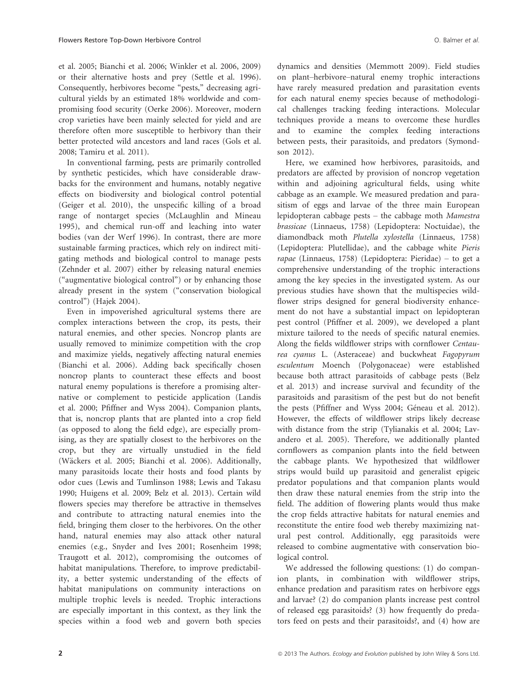et al. 2005; Bianchi et al. 2006; Winkler et al. 2006, 2009) or their alternative hosts and prey (Settle et al. 1996). Consequently, herbivores become "pests," decreasing agricultural yields by an estimated 18% worldwide and compromising food security (Oerke 2006). Moreover, modern crop varieties have been mainly selected for yield and are therefore often more susceptible to herbivory than their better protected wild ancestors and land races (Gols et al. 2008; Tamiru et al. 2011).

In conventional farming, pests are primarily controlled by synthetic pesticides, which have considerable drawbacks for the environment and humans, notably negative effects on biodiversity and biological control potential (Geiger et al. 2010), the unspecific killing of a broad range of nontarget species (McLaughlin and Mineau 1995), and chemical run-off and leaching into water bodies (van der Werf 1996). In contrast, there are more sustainable farming practices, which rely on indirect mitigating methods and biological control to manage pests (Zehnder et al. 2007) either by releasing natural enemies ("augmentative biological control") or by enhancing those already present in the system ("conservation biological control") (Hajek 2004).

Even in impoverished agricultural systems there are complex interactions between the crop, its pests, their natural enemies, and other species. Noncrop plants are usually removed to minimize competition with the crop and maximize yields, negatively affecting natural enemies (Bianchi et al. 2006). Adding back specifically chosen noncrop plants to counteract these effects and boost natural enemy populations is therefore a promising alternative or complement to pesticide application (Landis et al. 2000; Pfiffner and Wyss 2004). Companion plants, that is, noncrop plants that are planted into a crop field (as opposed to along the field edge), are especially promising, as they are spatially closest to the herbivores on the crop, but they are virtually unstudied in the field (Wäckers et al. 2005; Bianchi et al. 2006). Additionally, many parasitoids locate their hosts and food plants by odor cues (Lewis and Tumlinson 1988; Lewis and Takasu 1990; Huigens et al. 2009; Belz et al. 2013). Certain wild flowers species may therefore be attractive in themselves and contribute to attracting natural enemies into the field, bringing them closer to the herbivores. On the other hand, natural enemies may also attack other natural enemies (e.g., Snyder and Ives 2001; Rosenheim 1998; Traugott et al. 2012), compromising the outcomes of habitat manipulations. Therefore, to improve predictability, a better systemic understanding of the effects of habitat manipulations on community interactions on multiple trophic levels is needed. Trophic interactions are especially important in this context, as they link the species within a food web and govern both species dynamics and densities (Memmott 2009). Field studies on plant–herbivore–natural enemy trophic interactions have rarely measured predation and parasitation events for each natural enemy species because of methodological challenges tracking feeding interactions. Molecular techniques provide a means to overcome these hurdles and to examine the complex feeding interactions between pests, their parasitoids, and predators (Symondson 2012).

Here, we examined how herbivores, parasitoids, and predators are affected by provision of noncrop vegetation within and adjoining agricultural fields, using white cabbage as an example. We measured predation and parasitism of eggs and larvae of the three main European lepidopteran cabbage pests – the cabbage moth Mamestra brassicae (Linnaeus, 1758) (Lepidoptera: Noctuidae), the diamondback moth Plutella xylostella (Linnaeus, 1758) (Lepidoptera: Plutellidae), and the cabbage white Pieris rapae (Linnaeus, 1758) (Lepidoptera: Pieridae) – to get a comprehensive understanding of the trophic interactions among the key species in the investigated system. As our previous studies have shown that the multispecies wildflower strips designed for general biodiversity enhancement do not have a substantial impact on lepidopteran pest control (Pfiffner et al. 2009), we developed a plant mixture tailored to the needs of specific natural enemies. Along the fields wildflower strips with cornflower Centaurea cyanus L. (Asteraceae) and buckwheat Fagopyrum esculentum Moench (Polygonaceae) were established because both attract parasitoids of cabbage pests (Belz et al. 2013) and increase survival and fecundity of the parasitoids and parasitism of the pest but do not benefit the pests (Pfiffner and Wyss 2004; Géneau et al. 2012). However, the effects of wildflower strips likely decrease with distance from the strip (Tylianakis et al. 2004; Lavandero et al. 2005). Therefore, we additionally planted cornflowers as companion plants into the field between the cabbage plants. We hypothesized that wildflower strips would build up parasitoid and generalist epigeic predator populations and that companion plants would then draw these natural enemies from the strip into the field. The addition of flowering plants would thus make the crop fields attractive habitats for natural enemies and reconstitute the entire food web thereby maximizing natural pest control. Additionally, egg parasitoids were released to combine augmentative with conservation biological control.

We addressed the following questions: (1) do companion plants, in combination with wildflower strips, enhance predation and parasitism rates on herbivore eggs and larvae? (2) do companion plants increase pest control of released egg parasitoids? (3) how frequently do predators feed on pests and their parasitoids?, and (4) how are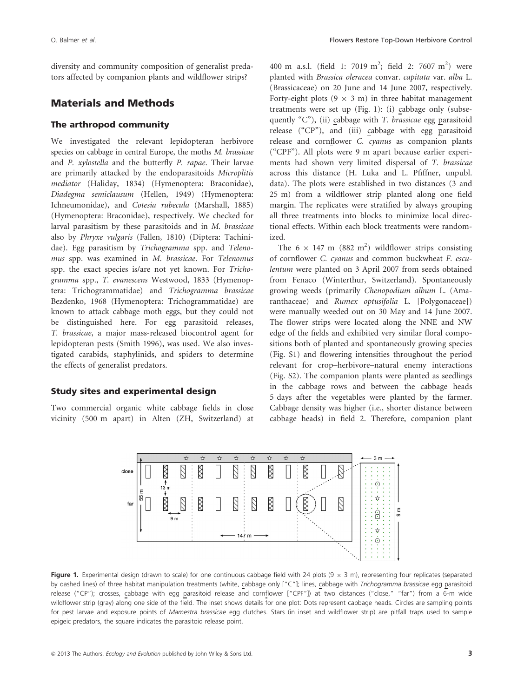O. Balmer et al. Flowers Restore Top-Down Herbivore Control

diversity and community composition of generalist predators affected by companion plants and wildflower strips?

# Materials and Methods

### The arthropod community

We investigated the relevant lepidopteran herbivore species on cabbage in central Europe, the moths M. brassicae and P. xylostella and the butterfly P. rapae. Their larvae are primarily attacked by the endoparasitoids Microplitis mediator (Haliday, 1834) (Hymenoptera: Braconidae), Diadegma semiclausum (Hellen, 1949) (Hymenoptera: Ichneumonidae), and Cotesia rubecula (Marshall, 1885) (Hymenoptera: Braconidae), respectively. We checked for larval parasitism by these parasitoids and in M. brassicae also by Phryxe vulgaris (Fallen, 1810) (Diptera: Tachinidae). Egg parasitism by Trichogramma spp. and Telenomus spp. was examined in M. brassicae. For Telenomus spp. the exact species is/are not yet known. For Trichogramma spp., T. evanescens Westwood, 1833 (Hymenoptera: Trichogrammatidae) and Trichogramma brassicae Bezdenko, 1968 (Hymenoptera: Trichogrammatidae) are known to attack cabbage moth eggs, but they could not be distinguished here. For egg parasitoid releases, T. brassicae, a major mass-released biocontrol agent for lepidopteran pests (Smith 1996), was used. We also investigated carabids, staphylinids, and spiders to determine the effects of generalist predators.

#### Study sites and experimental design

Two commercial organic white cabbage fields in close vicinity (500 m apart) in Alten (ZH, Switzerland) at

400 m a.s.l. (field 1: 7019 m<sup>2</sup>; field 2: 7607 m<sup>2</sup>) were planted with Brassica oleracea convar. capitata var. alba L. (Brassicaceae) on 20 June and 14 June 2007, respectively. Forty-eight plots  $(9 \times 3 \text{ m})$  in three habitat management treatments were set up (Fig. 1): (i) cabbage only (subsequently "C"), (ii) cabbage with T. brassicae egg parasitoid release ("CP"), and (iii) cabbage with egg parasitoid release and cornflower C. cyanus as companion plants ("CPF"). All plots were 9 m apart because earlier experiments had shown very limited dispersal of T. brassicae across this distance (H. Luka and L. Pfiffner, unpubl. data). The plots were established in two distances (3 and 25 m) from a wildflower strip planted along one field margin. The replicates were stratified by always grouping all three treatments into blocks to minimize local directional effects. Within each block treatments were randomized.

The  $6 \times 147$  m (882 m<sup>2</sup>) wildflower strips consisting of cornflower C. cyanus and common buckwheat F. esculentum were planted on 3 April 2007 from seeds obtained from Fenaco (Winterthur, Switzerland). Spontaneously growing weeds (primarily Chenopodium album L. (Amaranthaceae) and Rumex optusifolia L. [Polygonaceae]) were manually weeded out on 30 May and 14 June 2007. The flower strips were located along the NNE and NW edge of the fields and exhibited very similar floral compositions both of planted and spontaneously growing species (Fig. S1) and flowering intensities throughout the period relevant for crop–herbivore–natural enemy interactions (Fig. S2). The companion plants were planted as seedlings in the cabbage rows and between the cabbage heads 5 days after the vegetables were planted by the farmer. Cabbage density was higher (i.e., shorter distance between cabbage heads) in field 2. Therefore, companion plant



Figure 1. Experimental design (drawn to scale) for one continuous cabbage field with 24 plots (9  $\times$  3 m), representing four replicates (separated by dashed lines) of three habitat manipulation treatments (white, cabbage only ["C"]; lines, cabbage with Trichogramma brassicae egg parasitoid release ("CP"); crosses, cabbage with egg parasitoid release and cornflower ["CPF"]) at two distances ("close," "far") from a 6-m wide wildflower strip (gray) along one side of the field. The inset shows details for one plot: Dots represent cabbage heads. Circles are sampling points for pest larvae and exposure points of Mamestra brassicae egg clutches. Stars (in inset and wildflower strip) are pitfall traps used to sample epigeic predators, the square indicates the parasitoid release point.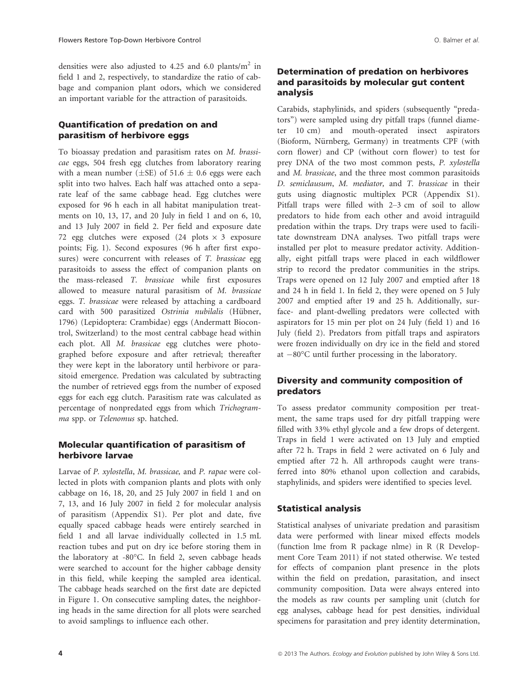densities were also adjusted to 4.25 and 6.0 plants/ $m<sup>2</sup>$  in field 1 and 2, respectively, to standardize the ratio of cabbage and companion plant odors, which we considered an important variable for the attraction of parasitoids.

# Quantification of predation on and parasitism of herbivore eggs

To bioassay predation and parasitism rates on M. brassicae eggs, 504 fresh egg clutches from laboratory rearing with a mean number ( $\pm$ SE) of 51.6  $\pm$  0.6 eggs were each split into two halves. Each half was attached onto a separate leaf of the same cabbage head. Egg clutches were exposed for 96 h each in all habitat manipulation treatments on 10, 13, 17, and 20 July in field 1 and on 6, 10, and 13 July 2007 in field 2. Per field and exposure date 72 egg clutches were exposed (24 plots  $\times$  3 exposure points; Fig. 1). Second exposures (96 h after first exposures) were concurrent with releases of T. brassicae egg parasitoids to assess the effect of companion plants on the mass-released T. brassicae while first exposures allowed to measure natural parasitism of M. brassicae eggs. T. brassicae were released by attaching a cardboard card with 500 parasitized Ostrinia nubilalis (Hübner, 1796) (Lepidoptera: Crambidae) eggs (Andermatt Biocontrol, Switzerland) to the most central cabbage head within each plot. All M. brassicae egg clutches were photographed before exposure and after retrieval; thereafter they were kept in the laboratory until herbivore or parasitoid emergence. Predation was calculated by subtracting the number of retrieved eggs from the number of exposed eggs for each egg clutch. Parasitism rate was calculated as percentage of nonpredated eggs from which Trichogramma spp. or Telenomus sp. hatched.

# Molecular quantification of parasitism of herbivore larvae

Larvae of P. xylostella, M. brassicae, and P. rapae were collected in plots with companion plants and plots with only cabbage on 16, 18, 20, and 25 July 2007 in field 1 and on 7, 13, and 16 July 2007 in field 2 for molecular analysis of parasitism (Appendix S1). Per plot and date, five equally spaced cabbage heads were entirely searched in field 1 and all larvae individually collected in 1.5 mL reaction tubes and put on dry ice before storing them in the laboratory at -80°C. In field 2, seven cabbage heads were searched to account for the higher cabbage density in this field, while keeping the sampled area identical. The cabbage heads searched on the first date are depicted in Figure 1. On consecutive sampling dates, the neighboring heads in the same direction for all plots were searched to avoid samplings to influence each other.

# Determination of predation on herbivores and parasitoids by molecular gut content analysis

Carabids, staphylinids, and spiders (subsequently "predators") were sampled using dry pitfall traps (funnel diameter 10 cm) and mouth-operated insect aspirators (Bioform, Nürnberg, Germany) in treatments CPF (with corn flower) and CP (without corn flower) to test for prey DNA of the two most common pests, P. xylostella and M. brassicae, and the three most common parasitoids D. semiclausum, M. mediator, and T. brassicae in their guts using diagnostic multiplex PCR (Appendix S1). Pitfall traps were filled with 2–3 cm of soil to allow predators to hide from each other and avoid intraguild predation within the traps. Dry traps were used to facilitate downstream DNA analyses. Two pitfall traps were installed per plot to measure predator activity. Additionally, eight pitfall traps were placed in each wildflower strip to record the predator communities in the strips. Traps were opened on 12 July 2007 and emptied after 18 and 24 h in field 1. In field 2, they were opened on 5 July 2007 and emptied after 19 and 25 h. Additionally, surface- and plant-dwelling predators were collected with aspirators for 15 min per plot on 24 July (field 1) and 16 July (field 2). Predators from pitfall traps and aspirators were frozen individually on dry ice in the field and stored at  $-80^{\circ}$ C until further processing in the laboratory.

# Diversity and community composition of predators

To assess predator community composition per treatment, the same traps used for dry pitfall trapping were filled with 33% ethyl glycole and a few drops of detergent. Traps in field 1 were activated on 13 July and emptied after 72 h. Traps in field 2 were activated on 6 July and emptied after 72 h. All arthropods caught were transferred into 80% ethanol upon collection and carabids, staphylinids, and spiders were identified to species level.

## Statistical analysis

Statistical analyses of univariate predation and parasitism data were performed with linear mixed effects models (function lme from R package nlme) in R (R Development Core Team 2011) if not stated otherwise. We tested for effects of companion plant presence in the plots within the field on predation, parasitation, and insect community composition. Data were always entered into the models as raw counts per sampling unit (clutch for egg analyses, cabbage head for pest densities, individual specimens for parasitation and prey identity determination,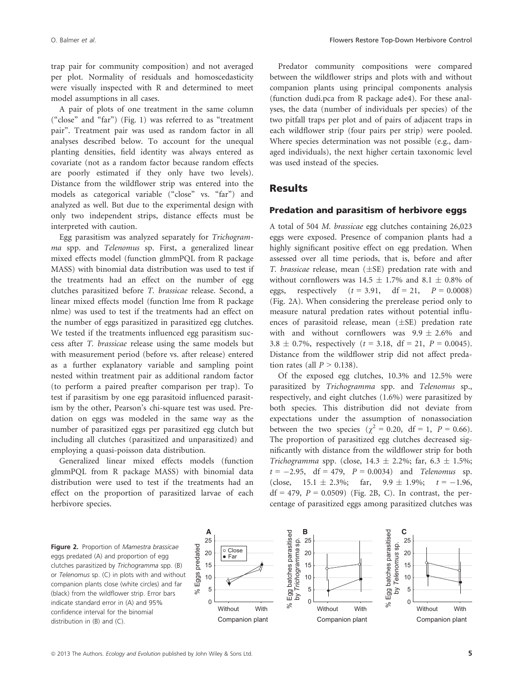trap pair for community composition) and not averaged per plot. Normality of residuals and homoscedasticity were visually inspected with R and determined to meet model assumptions in all cases.

A pair of plots of one treatment in the same column ("close" and "far") (Fig. 1) was referred to as "treatment pair". Treatment pair was used as random factor in all analyses described below. To account for the unequal planting densities, field identity was always entered as covariate (not as a random factor because random effects are poorly estimated if they only have two levels). Distance from the wildflower strip was entered into the models as categorical variable ("close" vs. "far") and analyzed as well. But due to the experimental design with only two independent strips, distance effects must be interpreted with caution.

Egg parasitism was analyzed separately for Trichogramma spp. and Telenomus sp. First, a generalized linear mixed effects model (function glmmPQL from R package MASS) with binomial data distribution was used to test if the treatments had an effect on the number of egg clutches parasitized before T. brassicae release. Second, a linear mixed effects model (function lme from R package nlme) was used to test if the treatments had an effect on the number of eggs parasitized in parasitized egg clutches. We tested if the treatments influenced egg parasitism success after T. brassicae release using the same models but with measurement period (before vs. after release) entered as a further explanatory variable and sampling point nested within treatment pair as additional random factor (to perform a paired preafter comparison per trap). To test if parasitism by one egg parasitoid influenced parasitism by the other, Pearson's chi-square test was used. Predation on eggs was modeled in the same way as the number of parasitized eggs per parasitized egg clutch but including all clutches (parasitized and unparasitized) and employing a quasi-poisson data distribution.

Generalized linear mixed effects models (function glmmPQL from R package MASS) with binomial data distribution were used to test if the treatments had an effect on the proportion of parasitized larvae of each herbivore species.

Predator community compositions were compared between the wildflower strips and plots with and without companion plants using principal components analysis (function dudi.pca from R package ade4). For these analyses, the data (number of individuals per species) of the two pitfall traps per plot and of pairs of adjacent traps in each wildflower strip (four pairs per strip) were pooled. Where species determination was not possible (e.g., damaged individuals), the next higher certain taxonomic level was used instead of the species.

### **Results**

#### Predation and parasitism of herbivore eggs

A total of 504 M. brassicae egg clutches containing 26,023 eggs were exposed. Presence of companion plants had a highly significant positive effect on egg predation. When assessed over all time periods, that is, before and after T. brassicae release, mean  $(\pm SE)$  predation rate with and without cornflowers was  $14.5 \pm 1.7\%$  and  $8.1 \pm 0.8\%$  of eggs, respectively  $(t = 3.91, df = 21, P = 0.0008)$ (Fig. 2A). When considering the prerelease period only to measure natural predation rates without potential influences of parasitoid release, mean  $(\pm SE)$  predation rate with and without cornflowers was  $9.9 \pm 2.6\%$  and 3.8  $\pm$  0.7%, respectively (t = 3.18, df = 21, P = 0.0045). Distance from the wildflower strip did not affect predation rates (all  $P > 0.138$ ).

Of the exposed egg clutches, 10.3% and 12.5% were parasitized by Trichogramma spp. and Telenomus sp., respectively, and eight clutches (1.6%) were parasitized by both species. This distribution did not deviate from expectations under the assumption of nonassociation between the two species ( $\chi^2 = 0.20$ , df = 1, P = 0.66). The proportion of parasitized egg clutches decreased significantly with distance from the wildflower strip for both Trichogramma spp. (close,  $14.3 \pm 2.2\%$ ; far,  $6.3 \pm 1.5\%$ ;  $t = -2.95$ , df = 479,  $P = 0.0034$ ) and *Telenomus* sp.<br>(close, 15.1  $\pm$  2.3%; far, 9.9  $\pm$  1.9%;  $t = -1.96$ ,  $15.1 \pm 2.3\%$ ; far,  $9.9 \pm 1.9\%$ ;  $t = -1.96$ ,  $df = 479$ ,  $P = 0.0509$ ) (Fig. 2B, C). In contrast, the percentage of parasitized eggs among parasitized clutches was

Figure 2. Proportion of Mamestra brassicae eggs predated (A) and proportion of egg clutches parasitized by Trichogramma spp. (B) or Telenomus sp. (C) in plots with and without companion plants close (white circles) and far (black) from the wildflower strip. Error bars indicate standard error in (A) and 95% confidence interval for the binomial distribution in (B) and (C).

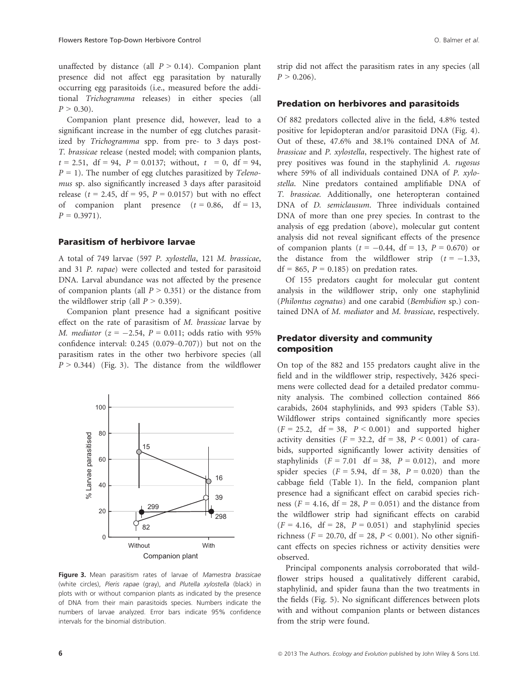unaffected by distance (all  $P > 0.14$ ). Companion plant presence did not affect egg parasitation by naturally occurring egg parasitoids (i.e., measured before the additional Trichogramma releases) in either species (all  $P > 0.30$ .

Companion plant presence did, however, lead to a significant increase in the number of egg clutches parasitized by Trichogramma spp. from pre- to 3 days post-T. brassicae release (nested model; with companion plants,  $t = 2.51$ , df = 94,  $P = 0.0137$ ; without,  $t = 0$ , df = 94,  $P = 1$ ). The number of egg clutches parasitized by *Teleno*mus sp. also significantly increased 3 days after parasitoid release ( $t = 2.45$ , df = 95,  $P = 0.0157$ ) but with no effect of companion plant presence  $(t = 0.86, df = 13,$  $P = 0.3971$ .

#### Parasitism of herbivore larvae

A total of 749 larvae (597 P. xylostella, 121 M. brassicae, and 31 P. rapae) were collected and tested for parasitoid DNA. Larval abundance was not affected by the presence of companion plants (all  $P > 0.351$ ) or the distance from the wildflower strip (all  $P > 0.359$ ).

Companion plant presence had a significant positive effect on the rate of parasitism of M. brassicae larvae by *M. mediator* ( $z = -2.54$ ,  $P = 0.011$ ; odds ratio with 95% confidence interval: 0.245 (0.079–0.707)) but not on the parasitism rates in the other two herbivore species (all  $P > 0.344$ ) (Fig. 3). The distance from the wildflower



Figure 3. Mean parasitism rates of larvae of Mamestra brassicae (white circles), Pieris rapae (gray), and Plutella xylostella (black) in plots with or without companion plants as indicated by the presence of DNA from their main parasitoids species. Numbers indicate the numbers of larvae analyzed. Error bars indicate 95% confidence intervals for the binomial distribution.

strip did not affect the parasitism rates in any species (all  $P > 0.206$ .

#### Predation on herbivores and parasitoids

Of 882 predators collected alive in the field, 4.8% tested positive for lepidopteran and/or parasitoid DNA (Fig. 4). Out of these, 47.6% and 38.1% contained DNA of M. brassicae and P. xylostella, respectively. The highest rate of prey positives was found in the staphylinid A. rugosus where 59% of all individuals contained DNA of P. xylostella. Nine predators contained amplifiable DNA of T. brassicae. Additionally, one heteropteran contained DNA of D. semiclausum. Three individuals contained DNA of more than one prey species. In contrast to the analysis of egg predation (above), molecular gut content analysis did not reveal significant effects of the presence of companion plants  $(t = -0.44, df = 13, P = 0.670)$  or the distance from the wildflower strip  $(t = -1.33)$ ,  $df = 865$ ,  $P = 0.185$  on predation rates.

Of 155 predators caught for molecular gut content analysis in the wildflower strip, only one staphylinid (Philontus cognatus) and one carabid (Bembidion sp.) contained DNA of M. mediator and M. brassicae, respectively.

#### Predator diversity and community composition

On top of the 882 and 155 predators caught alive in the field and in the wildflower strip, respectively, 3426 specimens were collected dead for a detailed predator community analysis. The combined collection contained 866 carabids, 2604 staphylinids, and 993 spiders (Table S3). Wildflower strips contained significantly more species  $(F = 25.2, df = 38, P < 0.001)$  and supported higher activity densities  $(F = 32.2, df = 38, P < 0.001)$  of carabids, supported significantly lower activity densities of staphylinids  $(F = 7.01 \text{ df} = 38, P = 0.012)$ , and more spider species  $(F = 5.94, df = 38, P = 0.020)$  than the cabbage field (Table 1). In the field, companion plant presence had a significant effect on carabid species richness ( $F = 4.16$ , df = 28,  $P = 0.051$ ) and the distance from the wildflower strip had significant effects on carabid  $(F = 4.16, df = 28, P = 0.051)$  and staphylinid species richness ( $F = 20.70$ , df = 28,  $P < 0.001$ ). No other significant effects on species richness or activity densities were observed.

Principal components analysis corroborated that wildflower strips housed a qualitatively different carabid, staphylinid, and spider fauna than the two treatments in the fields (Fig. 5). No significant differences between plots with and without companion plants or between distances from the strip were found.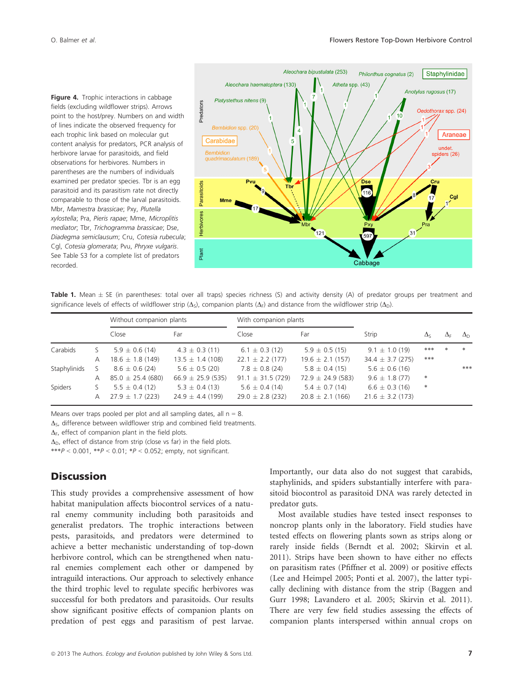Figure 4. Trophic interactions in cabbage fields (excluding wildflower strips). Arrows point to the host/prey. Numbers on and width of lines indicate the observed frequency for each trophic link based on molecular gut content analysis for predators, PCR analysis of herbivore larvae for parasitoids, and field observations for herbivores. Numbers in parentheses are the numbers of individuals examined per predator species. Tbr is an egg parasitoid and its parasitism rate not directly comparable to those of the larval parasitoids. Mbr, Mamestra brassicae; Pxy, Plutella xylostella; Pra, Pieris rapae; Mme, Microplitis mediator; Tbr, Trichogramma brassicae; Dse, Diadegma semiclausum; Cru, Cotesia rubecula; Cgl, Cotesia glomerata; Pvu, Phryxe vulgaris. See Table S3 for a complete list of predators recorded.



Table 1. Mean  $\pm$  SE (in parentheses: total over all traps) species richness (S) and activity density (A) of predator groups per treatment and significance levels of effects of wildflower strip ( $\Delta_5$ ), companion plants ( $\Delta_F$ ) and distance from the wildflower strip ( $\Delta_D$ ).

|              |   | Without companion plants |                       | With companion plants |                       |                      |          |                |                     |
|--------------|---|--------------------------|-----------------------|-----------------------|-----------------------|----------------------|----------|----------------|---------------------|
|              |   | Close                    | Far                   | Close                 | Far                   | Strip                | $\Delta$ | $\Delta$ F     | $\Delta_{\text{D}}$ |
| Carabids     |   | $5.9 \pm 0.6$ (14)       | $4.3 \pm 0.3$ (11)    | $6.1 \pm 0.3$ (12)    | $5.9 \pm 0.5$ (15)    | $9.1 \pm 1.0$ (19)   | ***      | $\frac{1}{26}$ | $*$                 |
|              | А | $18.6 \pm 1.8$ (149)     | $13.5 \pm 1.4$ (108)  | $22.1 \pm 2.2$ (177)  | $19.6 \pm 2.1$ (157)  | $34.4 \pm 3.7$ (275) | ***      |                |                     |
| Staphylinids |   | $8.6 \pm 0.6$ (24)       | $5.6 \pm 0.5$ (20)    | $7.8 \pm 0.8$ (24)    | $5.8 \pm 0.4$ (15)    | $5.6 \pm 0.6$ (16)   |          |                | ***                 |
|              | А | $85.0 \pm 25.4$ (680)    | $66.9 \pm 25.9$ (535) | $91.1 \pm 31.5(729)$  | $72.9 \pm 24.9$ (583) | $9.6 \pm 1.8$ (77)   | $\ast$   |                |                     |
| Spiders      |   | $5.5 \pm 0.4$ (12)       | $5.3 \pm 0.4$ (13)    | $5.6 \pm 0.4$ (14)    | $5.4 \pm 0.7$ (14)    | $6.6 \pm 0.3$ (16)   | $\ast$   |                |                     |
|              | А | $27.9 \pm 1.7$ (223)     | $24.9 \pm 4.4$ (199)  | $29.0 \pm 2.8$ (232)  | $20.8 \pm 2.1$ (166)  | $21.6 \pm 3.2$ (173) |          |                |                     |

Means over traps pooled per plot and all sampling dates, all  $n = 8$ .

 $\Delta$ <sub>s</sub>, difference between wildflower strip and combined field treatments.

 $\Delta_{\text{F}}$ , effect of companion plant in the field plots.

 $\Delta_{\text{D}}$ , effect of distance from strip (close vs far) in the field plots.

\*\*\*P < 0.001, \*\*P < 0.01; \*P < 0.052; empty, not significant.

# **Discussion**

This study provides a comprehensive assessment of how habitat manipulation affects biocontrol services of a natural enemy community including both parasitoids and generalist predators. The trophic interactions between pests, parasitoids, and predators were determined to achieve a better mechanistic understanding of top-down herbivore control, which can be strengthened when natural enemies complement each other or dampened by intraguild interactions. Our approach to selectively enhance the third trophic level to regulate specific herbivores was successful for both predators and parasitoids. Our results show significant positive effects of companion plants on predation of pest eggs and parasitism of pest larvae. Importantly, our data also do not suggest that carabids, staphylinids, and spiders substantially interfere with parasitoid biocontrol as parasitoid DNA was rarely detected in predator guts.

Most available studies have tested insect responses to noncrop plants only in the laboratory. Field studies have tested effects on flowering plants sown as strips along or rarely inside fields (Berndt et al. 2002; Skirvin et al. 2011). Strips have been shown to have either no effects on parasitism rates (Pfiffner et al. 2009) or positive effects (Lee and Heimpel 2005; Ponti et al. 2007), the latter typically declining with distance from the strip (Baggen and Gurr 1998; Lavandero et al. 2005; Skirvin et al. 2011). There are very few field studies assessing the effects of companion plants interspersed within annual crops on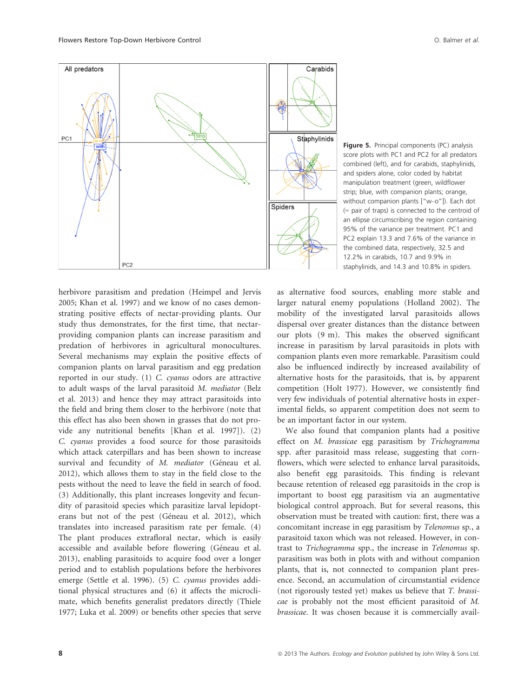



herbivore parasitism and predation (Heimpel and Jervis 2005; Khan et al. 1997) and we know of no cases demonstrating positive effects of nectar-providing plants. Our study thus demonstrates, for the first time, that nectarproviding companion plants can increase parasitism and predation of herbivores in agricultural monocultures. Several mechanisms may explain the positive effects of companion plants on larval parasitism and egg predation reported in our study. (1) C. cyanus odors are attractive to adult wasps of the larval parasitoid M. mediator (Belz et al. 2013) and hence they may attract parasitoids into the field and bring them closer to the herbivore (note that this effect has also been shown in grasses that do not provide any nutritional benefits [Khan et al. 1997]). (2) C. cyanus provides a food source for those parasitoids which attack caterpillars and has been shown to increase survival and fecundity of M. mediator (Géneau et al. 2012), which allows them to stay in the field close to the pests without the need to leave the field in search of food. (3) Additionally, this plant increases longevity and fecundity of parasitoid species which parasitize larval lepidopterans but not of the pest (Géneau et al. 2012), which translates into increased parasitism rate per female. (4) The plant produces extrafloral nectar, which is easily accessible and available before flowering (Géneau et al. 2013), enabling parasitoids to acquire food over a longer period and to establish populations before the herbivores emerge (Settle et al. 1996). (5) C. cyanus provides additional physical structures and (6) it affects the microclimate, which benefits generalist predators directly (Thiele 1977; Luka et al. 2009) or benefits other species that serve

as alternative food sources, enabling more stable and larger natural enemy populations (Holland 2002). The mobility of the investigated larval parasitoids allows dispersal over greater distances than the distance between our plots (9 m). This makes the observed significant increase in parasitism by larval parasitoids in plots with companion plants even more remarkable. Parasitism could also be influenced indirectly by increased availability of alternative hosts for the parasitoids, that is, by apparent competition (Holt 1977). However, we consistently find very few individuals of potential alternative hosts in experimental fields, so apparent competition does not seem to be an important factor in our system.

We also found that companion plants had a positive effect on M. brassicae egg parasitism by Trichogramma spp. after parasitoid mass release, suggesting that cornflowers, which were selected to enhance larval parasitoids, also benefit egg parasitoids. This finding is relevant because retention of released egg parasitoids in the crop is important to boost egg parasitism via an augmentative biological control approach. But for several reasons, this observation must be treated with caution: first, there was a concomitant increase in egg parasitism by Telenomus sp., a parasitoid taxon which was not released. However, in contrast to Trichogramma spp., the increase in Telenomus sp. parasitism was both in plots with and without companion plants, that is, not connected to companion plant presence. Second, an accumulation of circumstantial evidence (not rigorously tested yet) makes us believe that T. brassicae is probably not the most efficient parasitoid of M. brassicae. It was chosen because it is commercially avail-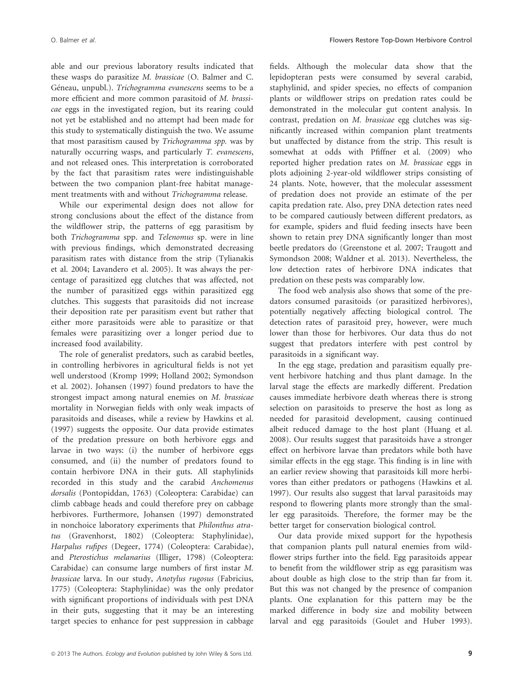able and our previous laboratory results indicated that these wasps do parasitize M. brassicae (O. Balmer and C. Géneau, unpubl.). *Trichogramma evanescens* seems to be a more efficient and more common parasitoid of M. brassicae eggs in the investigated region, but its rearing could not yet be established and no attempt had been made for this study to systematically distinguish the two. We assume that most parasitism caused by Trichogramma spp. was by naturally occurring wasps, and particularly T. evanescens, and not released ones. This interpretation is corroborated by the fact that parasitism rates were indistinguishable between the two companion plant-free habitat management treatments with and without Trichogramma release.

While our experimental design does not allow for strong conclusions about the effect of the distance from the wildflower strip, the patterns of egg parasitism by both Trichogramma spp. and Telenomus sp. were in line with previous findings, which demonstrated decreasing parasitism rates with distance from the strip (Tylianakis et al. 2004; Lavandero et al. 2005). It was always the percentage of parasitized egg clutches that was affected, not the number of parasitized eggs within parasitized egg clutches. This suggests that parasitoids did not increase their deposition rate per parasitism event but rather that either more parasitoids were able to parasitize or that females were parasitizing over a longer period due to increased food availability.

The role of generalist predators, such as carabid beetles, in controlling herbivores in agricultural fields is not yet well understood (Kromp 1999; Holland 2002; Symondson et al. 2002). Johansen (1997) found predators to have the strongest impact among natural enemies on M. brassicae mortality in Norwegian fields with only weak impacts of parasitoids and diseases, while a review by Hawkins et al. (1997) suggests the opposite. Our data provide estimates of the predation pressure on both herbivore eggs and larvae in two ways: (i) the number of herbivore eggs consumed, and (ii) the number of predators found to contain herbivore DNA in their guts. All staphylinids recorded in this study and the carabid Anchomenus dorsalis (Pontopiddan, 1763) (Coleoptera: Carabidae) can climb cabbage heads and could therefore prey on cabbage herbivores. Furthermore, Johansen (1997) demonstrated in nonchoice laboratory experiments that Philonthus atratus (Gravenhorst, 1802) (Coleoptera: Staphylinidae), Harpalus rufipes (Degeer, 1774) (Coleoptera: Carabidae), and Pterostichus melanarius (Illiger, 1798) (Coleoptera: Carabidae) can consume large numbers of first instar M. brassicae larva. In our study, Anotylus rugosus (Fabricius, 1775) (Coleoptera: Staphylinidae) was the only predator with significant proportions of individuals with pest DNA in their guts, suggesting that it may be an interesting target species to enhance for pest suppression in cabbage fields. Although the molecular data show that the lepidopteran pests were consumed by several carabid, staphylinid, and spider species, no effects of companion plants or wildflower strips on predation rates could be demonstrated in the molecular gut content analysis. In contrast, predation on M. brassicae egg clutches was significantly increased within companion plant treatments but unaffected by distance from the strip. This result is somewhat at odds with Pfiffner et al. (2009) who reported higher predation rates on M. brassicae eggs in plots adjoining 2-year-old wildflower strips consisting of 24 plants. Note, however, that the molecular assessment of predation does not provide an estimate of the per capita predation rate. Also, prey DNA detection rates need to be compared cautiously between different predators, as for example, spiders and fluid feeding insects have been shown to retain prey DNA significantly longer than most beetle predators do (Greenstone et al. 2007; Traugott and Symondson 2008; Waldner et al. 2013). Nevertheless, the low detection rates of herbivore DNA indicates that predation on these pests was comparably low.

The food web analysis also shows that some of the predators consumed parasitoids (or parasitized herbivores), potentially negatively affecting biological control. The detection rates of parasitoid prey, however, were much lower than those for herbivores. Our data thus do not suggest that predators interfere with pest control by parasitoids in a significant way.

In the egg stage, predation and parasitism equally prevent herbivore hatching and thus plant damage. In the larval stage the effects are markedly different. Predation causes immediate herbivore death whereas there is strong selection on parasitoids to preserve the host as long as needed for parasitoid development, causing continued albeit reduced damage to the host plant (Huang et al. 2008). Our results suggest that parasitoids have a stronger effect on herbivore larvae than predators while both have similar effects in the egg stage. This finding is in line with an earlier review showing that parasitoids kill more herbivores than either predators or pathogens (Hawkins et al. 1997). Our results also suggest that larval parasitoids may respond to flowering plants more strongly than the smaller egg parasitoids. Therefore, the former may be the better target for conservation biological control.

Our data provide mixed support for the hypothesis that companion plants pull natural enemies from wildflower strips further into the field. Egg parasitoids appear to benefit from the wildflower strip as egg parasitism was about double as high close to the strip than far from it. But this was not changed by the presence of companion plants. One explanation for this pattern may be the marked difference in body size and mobility between larval and egg parasitoids (Goulet and Huber 1993).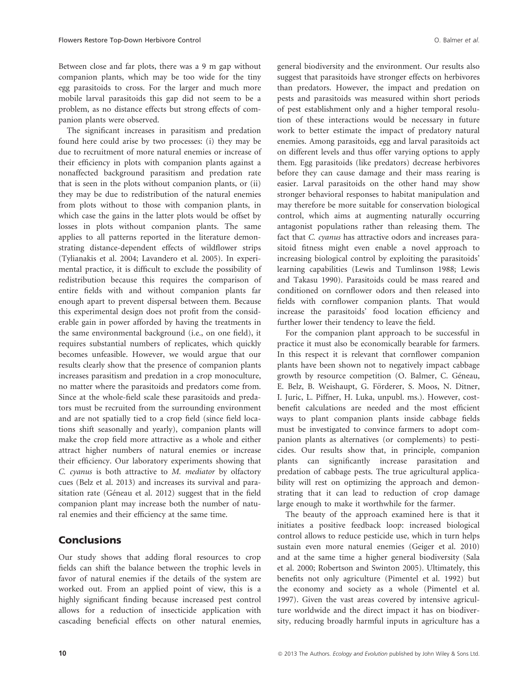Between close and far plots, there was a 9 m gap without companion plants, which may be too wide for the tiny egg parasitoids to cross. For the larger and much more mobile larval parasitoids this gap did not seem to be a problem, as no distance effects but strong effects of companion plants were observed.

The significant increases in parasitism and predation found here could arise by two processes: (i) they may be due to recruitment of more natural enemies or increase of their efficiency in plots with companion plants against a nonaffected background parasitism and predation rate that is seen in the plots without companion plants, or (ii) they may be due to redistribution of the natural enemies from plots without to those with companion plants, in which case the gains in the latter plots would be offset by losses in plots without companion plants. The same applies to all patterns reported in the literature demonstrating distance-dependent effects of wildflower strips (Tylianakis et al. 2004; Lavandero et al. 2005). In experimental practice, it is difficult to exclude the possibility of redistribution because this requires the comparison of entire fields with and without companion plants far enough apart to prevent dispersal between them. Because this experimental design does not profit from the considerable gain in power afforded by having the treatments in the same environmental background (i.e., on one field), it requires substantial numbers of replicates, which quickly becomes unfeasible. However, we would argue that our results clearly show that the presence of companion plants increases parasitism and predation in a crop monoculture, no matter where the parasitoids and predators come from. Since at the whole-field scale these parasitoids and predators must be recruited from the surrounding environment and are not spatially tied to a crop field (since field locations shift seasonally and yearly), companion plants will make the crop field more attractive as a whole and either attract higher numbers of natural enemies or increase their efficiency. Our laboratory experiments showing that C. cyanus is both attractive to M. mediator by olfactory cues (Belz et al. 2013) and increases its survival and parasitation rate (Géneau et al. 2012) suggest that in the field companion plant may increase both the number of natural enemies and their efficiency at the same time.

# Conclusions

Our study shows that adding floral resources to crop fields can shift the balance between the trophic levels in favor of natural enemies if the details of the system are worked out. From an applied point of view, this is a highly significant finding because increased pest control allows for a reduction of insecticide application with cascading beneficial effects on other natural enemies,

general biodiversity and the environment. Our results also suggest that parasitoids have stronger effects on herbivores than predators. However, the impact and predation on pests and parasitoids was measured within short periods of pest establishment only and a higher temporal resolution of these interactions would be necessary in future work to better estimate the impact of predatory natural enemies. Among parasitoids, egg and larval parasitoids act on different levels and thus offer varying options to apply them. Egg parasitoids (like predators) decrease herbivores before they can cause damage and their mass rearing is easier. Larval parasitoids on the other hand may show stronger behavioral responses to habitat manipulation and may therefore be more suitable for conservation biological control, which aims at augmenting naturally occurring antagonist populations rather than releasing them. The fact that C. cyanus has attractive odors and increases parasitoid fitness might even enable a novel approach to increasing biological control by exploiting the parasitoids' learning capabilities (Lewis and Tumlinson 1988; Lewis and Takasu 1990). Parasitoids could be mass reared and conditioned on cornflower odors and then released into fields with cornflower companion plants. That would increase the parasitoids' food location efficiency and further lower their tendency to leave the field.

For the companion plant approach to be successful in practice it must also be economically bearable for farmers. In this respect it is relevant that cornflower companion plants have been shown not to negatively impact cabbage growth by resource competition (O. Balmer, C. Géneau, E. Belz, B. Weishaupt, G. Förderer, S. Moos, N. Ditner, I. Juric, L. Piffner, H. Luka, unpubl. ms.). However, costbenefit calculations are needed and the most efficient ways to plant companion plants inside cabbage fields must be investigated to convince farmers to adopt companion plants as alternatives (or complements) to pesticides. Our results show that, in principle, companion plants can significantly increase parasitation and predation of cabbage pests. The true agricultural applicability will rest on optimizing the approach and demonstrating that it can lead to reduction of crop damage large enough to make it worthwhile for the farmer.

The beauty of the approach examined here is that it initiates a positive feedback loop: increased biological control allows to reduce pesticide use, which in turn helps sustain even more natural enemies (Geiger et al. 2010) and at the same time a higher general biodiversity (Sala et al. 2000; Robertson and Swinton 2005). Ultimately, this benefits not only agriculture (Pimentel et al. 1992) but the economy and society as a whole (Pimentel et al. 1997). Given the vast areas covered by intensive agriculture worldwide and the direct impact it has on biodiversity, reducing broadly harmful inputs in agriculture has a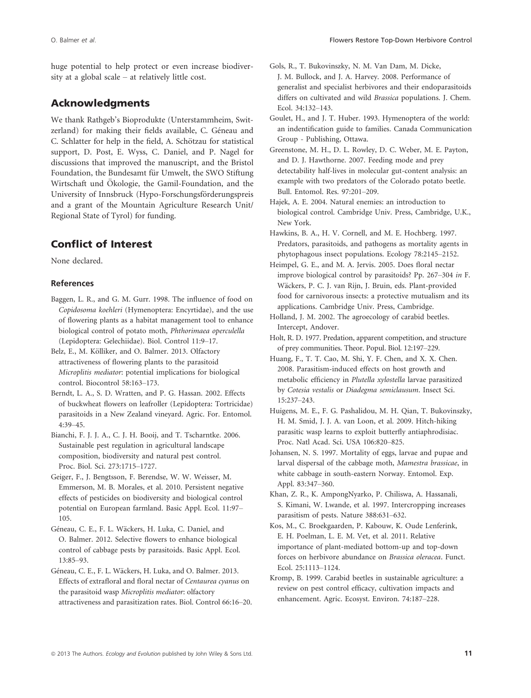huge potential to help protect or even increase biodiversity at a global scale – at relatively little cost.

# Acknowledgments

We thank Rathgeb's Bioprodukte (Unterstammheim, Switzerland) for making their fields available, C. Géneau and C. Schlatter for help in the field, A. Schötzau for statistical support, D. Post, E. Wyss, C. Daniel, and P. Nagel for discussions that improved the manuscript, and the Bristol Foundation, the Bundesamt für Umwelt, the SWO Stiftung Wirtschaft und Ökologie, the Gamil-Foundation, and the University of Innsbruck (Hypo-Forschungsförderungspreis and a grant of the Mountain Agriculture Research Unit/ Regional State of Tyrol) for funding.

# Conflict of Interest

None declared.

#### References

- Baggen, L. R., and G. M. Gurr. 1998. The influence of food on Copidosoma koehleri (Hymenoptera: Encyrtidae), and the use of flowering plants as a habitat management tool to enhance biological control of potato moth, Phthorimaea operculella (Lepidoptera: Gelechiidae). Biol. Control 11:9–17.
- Belz, E., M. Kölliker, and O. Balmer. 2013. Olfactory attractiveness of flowering plants to the parasitoid Microplitis mediator: potential implications for biological control. Biocontrol 58:163–173.
- Berndt, L. A., S. D. Wratten, and P. G. Hassan. 2002. Effects of buckwheat flowers on leafroller (Lepidoptera: Tortricidae) parasitoids in a New Zealand vineyard. Agric. For. Entomol. 4:39–45.
- Bianchi, F. J. J. A., C. J. H. Booij, and T. Tscharntke. 2006. Sustainable pest regulation in agricultural landscape composition, biodiversity and natural pest control. Proc. Biol. Sci. 273:1715–1727.
- Geiger, F., J. Bengtsson, F. Berendse, W. W. Weisser, M. Emmerson, M. B. Morales, et al. 2010. Persistent negative effects of pesticides on biodiversity and biological control potential on European farmland. Basic Appl. Ecol. 11:97– 105.
- Géneau, C. E., F. L. Wäckers, H. Luka, C. Daniel, and O. Balmer. 2012. Selective flowers to enhance biological control of cabbage pests by parasitoids. Basic Appl. Ecol. 13:85–93.
- Géneau, C. E., F. L. Wäckers, H. Luka, and O. Balmer. 2013. Effects of extrafloral and floral nectar of Centaurea cyanus on the parasitoid wasp Microplitis mediator: olfactory attractiveness and parasitization rates. Biol. Control 66:16–20.
- Gols, R., T. Bukovinszky, N. M. Van Dam, M. Dicke, J. M. Bullock, and J. A. Harvey. 2008. Performance of generalist and specialist herbivores and their endoparasitoids differs on cultivated and wild Brassica populations. J. Chem. Ecol. 34:132–143.
- Goulet, H., and J. T. Huber. 1993. Hymenoptera of the world: an indentification guide to families. Canada Communication Group - Publishing, Ottawa.

Greenstone, M. H., D. L. Rowley, D. C. Weber, M. E. Payton, and D. J. Hawthorne. 2007. Feeding mode and prey detectability half-lives in molecular gut-content analysis: an example with two predators of the Colorado potato beetle. Bull. Entomol. Res. 97:201–209.

- Hajek, A. E. 2004. Natural enemies: an introduction to biological control. Cambridge Univ. Press, Cambridge, U.K., New York.
- Hawkins, B. A., H. V. Cornell, and M. E. Hochberg. 1997. Predators, parasitoids, and pathogens as mortality agents in phytophagous insect populations. Ecology 78:2145–2152.
- Heimpel, G. E., and M. A. Jervis. 2005. Does floral nectar improve biological control by parasitoids? Pp. 267–304 in F. Wäckers, P. C. J. van Rijn, J. Bruin, eds. Plant-provided food for carnivorous insects: a protective mutualism and its applications. Cambridge Univ. Press, Cambridge.
- Holland, J. M. 2002. The agroecology of carabid beetles. Intercept, Andover.
- Holt, R. D. 1977. Predation, apparent competition, and structure of prey communities. Theor. Popul. Biol. 12:197–229.
- Huang, F., T. T. Cao, M. Shi, Y. F. Chen, and X. X. Chen. 2008. Parasitism-induced effects on host growth and metabolic efficiency in Plutella xylostella larvae parasitized by Cotesia vestalis or Diadegma semiclausum. Insect Sci. 15:237–243.
- Huigens, M. E., F. G. Pashalidou, M. H. Qian, T. Bukovinszky, H. M. Smid, J. J. A. van Loon, et al. 2009. Hitch-hiking parasitic wasp learns to exploit butterfly antiaphrodisiac. Proc. Natl Acad. Sci. USA 106:820–825.
- Johansen, N. S. 1997. Mortality of eggs, larvae and pupae and larval dispersal of the cabbage moth, Mamestra brassicae, in white cabbage in south-eastern Norway. Entomol. Exp. Appl. 83:347–360.
- Khan, Z. R., K. AmpongNyarko, P. Chiliswa, A. Hassanali, S. Kimani, W. Lwande, et al. 1997. Intercropping increases parasitism of pests. Nature 388:631–632.
- Kos, M., C. Broekgaarden, P. Kabouw, K. Oude Lenferink, E. H. Poelman, L. E. M. Vet, et al. 2011. Relative importance of plant-mediated bottom-up and top-down forces on herbivore abundance on Brassica oleracea. Funct. Ecol. 25:1113–1124.
- Kromp, B. 1999. Carabid beetles in sustainable agriculture: a review on pest control efficacy, cultivation impacts and enhancement. Agric. Ecosyst. Environ. 74:187–228.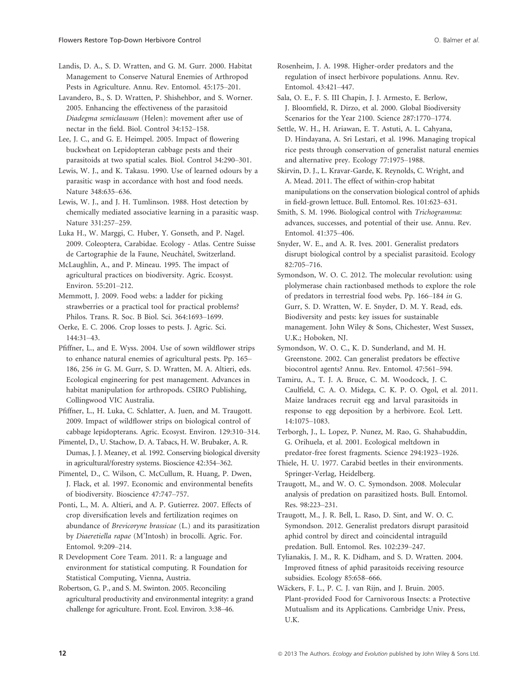Landis, D. A., S. D. Wratten, and G. M. Gurr. 2000. Habitat Management to Conserve Natural Enemies of Arthropod Pests in Agriculture. Annu. Rev. Entomol. 45:175–201.

Lavandero, B., S. D. Wratten, P. Shishehbor, and S. Worner. 2005. Enhancing the effectiveness of the parasitoid Diadegma semiclausum (Helen): movement after use of nectar in the field. Biol. Control 34:152–158.

Lee, J. C., and G. E. Heimpel. 2005. Impact of flowering buckwheat on Lepidopteran cabbage pests and their parasitoids at two spatial scales. Biol. Control 34:290–301.

Lewis, W. J., and K. Takasu. 1990. Use of learned odours by a parasitic wasp in accordance with host and food needs. Nature 348:635–636.

Lewis, W. J., and J. H. Tumlinson. 1988. Host detection by chemically mediated associative learning in a parasitic wasp. Nature 331:257–259.

Luka H., W. Marggi, C. Huber, Y. Gonseth, and P. Nagel. 2009. Coleoptera, Carabidae. Ecology - Atlas. Centre Suisse de Cartographie de la Faune, Neuchâtel, Switzerland.

McLaughlin, A., and P. Mineau. 1995. The impact of agricultural practices on biodiversity. Agric. Ecosyst. Environ. 55:201–212.

Memmott, J. 2009. Food webs: a ladder for picking strawberries or a practical tool for practical problems? Philos. Trans. R. Soc. B Biol. Sci. 364:1693–1699.

Oerke, E. C. 2006. Crop losses to pests. J. Agric. Sci. 144:31–43.

Pfiffner, L., and E. Wyss. 2004. Use of sown wildflower strips to enhance natural enemies of agricultural pests. Pp. 165– 186, 256 in G. M. Gurr, S. D. Wratten, M. A. Altieri, eds. Ecological engineering for pest management. Advances in habitat manipulation for arthropods. CSIRO Publishing, Collingwood VIC Australia.

Pfiffner, L., H. Luka, C. Schlatter, A. Juen, and M. Traugott. 2009. Impact of wildflower strips on biological control of cabbage lepidopterans. Agric. Ecosyst. Environ. 129:310–314.

Pimentel, D., U. Stachow, D. A. Tabacs, H. W. Brubaker, A. R. Dumas, J. J. Meaney, et al. 1992. Conserving biological diversity in agricultural/forestry systems. Bioscience 42:354–362.

Pimentel, D., C. Wilson, C. McCullum, R. Huang, P. Dwen, J. Flack, et al. 1997. Economic and environmental benefits of biodiversity. Bioscience 47:747–757.

Ponti, L., M. A. Altieri, and A. P. Gutierrez. 2007. Effects of crop diversification levels and fertilization reqimes on abundance of Brevicoryne brassicae (L.) and its parasitization by Diaeretiella rapae (M'Intosh) in brocolli. Agric. For. Entomol. 9:209–214.

R Development Core Team. 2011. R: a language and environment for statistical computing. R Foundation for Statistical Computing, Vienna, Austria.

Robertson, G. P., and S. M. Swinton. 2005. Reconciling agricultural productivity and environmental integrity: a grand challenge for agriculture. Front. Ecol. Environ. 3:38–46.

Rosenheim, J. A. 1998. Higher-order predators and the regulation of insect herbivore populations. Annu. Rev. Entomol. 43:421–447.

Sala, O. E., F. S. III Chapin, J. J. Armesto, E. Berlow, J. Bloomfield, R. Dirzo, et al. 2000. Global Biodiversity Scenarios for the Year 2100. Science 287:1770–1774.

Settle, W. H., H. Ariawan, E. T. Astuti, A. L. Cahyana, D. Hindayana, A. Sri Lestari, et al. 1996. Managing tropical rice pests through conservation of generalist natural enemies and alternative prey. Ecology 77:1975–1988.

Skirvin, D. J., L. Kravar-Garde, K. Reynolds, C. Wright, and A. Mead. 2011. The effect of within-crop habitat manipulations on the conservation biological control of aphids in field-grown lettuce. Bull. Entomol. Res. 101:623–631.

Smith, S. M. 1996. Biological control with Trichogramma: advances, successes, and potential of their use. Annu. Rev. Entomol. 41:375–406.

Snyder, W. E., and A. R. Ives. 2001. Generalist predators disrupt biological control by a specialist parasitoid. Ecology 82:705–716.

Symondson, W. O. C. 2012. The molecular revolution: using plolymerase chain ractionbased methods to explore the role of predators in terrestrial food webs. Pp. 166–184 in G. Gurr, S. D. Wratten, W. E. Snyder, D. M. Y. Read, eds. Biodiversity and pests: key issues for sustainable management. John Wiley & Sons, Chichester, West Sussex, U.K.; Hoboken, NJ.

Symondson, W. O. C., K. D. Sunderland, and M. H. Greenstone. 2002. Can generalist predators be effective biocontrol agents? Annu. Rev. Entomol. 47:561–594.

Tamiru, A., T. J. A. Bruce, C. M. Woodcock, J. C. Caulfield, C. A. O. Midega, C. K. P. O. Ogol, et al. 2011. Maize landraces recruit egg and larval parasitoids in response to egg deposition by a herbivore. Ecol. Lett. 14:1075–1083.

Terborgh, J., L. Lopez, P. Nunez, M. Rao, G. Shahabuddin, G. Orihuela, et al. 2001. Ecological meltdown in predator-free forest fragments. Science 294:1923–1926.

Thiele, H. U. 1977. Carabid beetles in their environments. Springer-Verlag, Heidelberg.

Traugott, M., and W. O. C. Symondson. 2008. Molecular analysis of predation on parasitized hosts. Bull. Entomol. Res. 98:223–231.

Traugott, M., J. R. Bell, L. Raso, D. Sint, and W. O. C. Symondson. 2012. Generalist predators disrupt parasitoid aphid control by direct and coincidental intraguild predation. Bull. Entomol. Res. 102:239–247.

Tylianakis, J. M., R. K. Didham, and S. D. Wratten. 2004. Improved fitness of aphid parasitoids receiving resource subsidies. Ecology 85:658–666.

Wäckers, F. L., P. C. J. van Rijn, and J. Bruin. 2005. Plant-provided Food for Carnivorous Insects: a Protective Mutualism and its Applications. Cambridge Univ. Press, U.K.